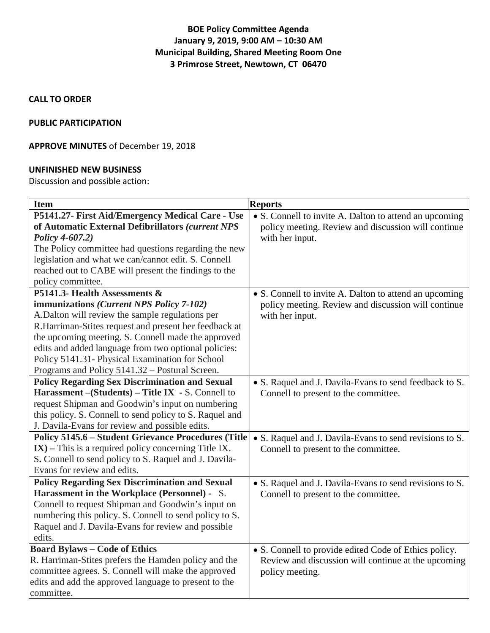# **BOE Policy Committee Agenda January 9, 2019, 9:00 AM – 10:30 AM Municipal Building, Shared Meeting Room One 3 Primrose Street, Newtown, CT 06470**

### **CALL TO ORDER**

#### **PUBLIC PARTICIPATION**

## **APPROVE MINUTES** of December 19, 2018

#### **UNFINISHED NEW BUSINESS**

Discussion and possible action:

| <b>Item</b>                                                | <b>Reports</b>                                          |
|------------------------------------------------------------|---------------------------------------------------------|
| P5141.27- First Aid/Emergency Medical Care - Use           | • S. Connell to invite A. Dalton to attend an upcoming  |
| of Automatic External Defibrillators (current NPS          | policy meeting. Review and discussion will continue     |
| Policy 4-607.2)                                            | with her input.                                         |
| The Policy committee had questions regarding the new       |                                                         |
| legislation and what we can/cannot edit. S. Connell        |                                                         |
| reached out to CABE will present the findings to the       |                                                         |
| policy committee.                                          |                                                         |
| P5141.3- Health Assessments &                              | • S. Connell to invite A. Dalton to attend an upcoming  |
| immunizations (Current NPS Policy 7-102)                   | policy meeting. Review and discussion will continue     |
| A.Dalton will review the sample regulations per            | with her input.                                         |
| R.Harriman-Stites request and present her feedback at      |                                                         |
| the upcoming meeting. S. Connell made the approved         |                                                         |
| edits and added language from two optional policies:       |                                                         |
| Policy 5141.31- Physical Examination for School            |                                                         |
| Programs and Policy 5141.32 - Postural Screen.             |                                                         |
| <b>Policy Regarding Sex Discrimination and Sexual</b>      | • S. Raquel and J. Davila-Evans to send feedback to S.  |
| Harassment - (Students) - Title IX - S. Connell to         | Connell to present to the committee.                    |
| request Shipman and Goodwin's input on numbering           |                                                         |
| this policy. S. Connell to send policy to S. Raquel and    |                                                         |
| J. Davila-Evans for review and possible edits.             |                                                         |
| <b>Policy 5145.6 - Student Grievance Procedures (Title</b> | • S. Raquel and J. Davila-Evans to send revisions to S. |
| $IX$ ) – This is a required policy concerning Title IX.    | Connell to present to the committee.                    |
| S. Connell to send policy to S. Raquel and J. Davila-      |                                                         |
| Evans for review and edits.                                |                                                         |
| <b>Policy Regarding Sex Discrimination and Sexual</b>      | • S. Raquel and J. Davila-Evans to send revisions to S. |
| Harassment in the Workplace (Personnel) - S.               | Connell to present to the committee.                    |
| Connell to request Shipman and Goodwin's input on          |                                                         |
| numbering this policy. S. Connell to send policy to S.     |                                                         |
| Raquel and J. Davila-Evans for review and possible         |                                                         |
| edits.                                                     |                                                         |
| <b>Board Bylaws - Code of Ethics</b>                       | • S. Connell to provide edited Code of Ethics policy.   |
| R. Harriman-Stites prefers the Hamden policy and the       | Review and discussion will continue at the upcoming     |
| committee agrees. S. Connell will make the approved        | policy meeting.                                         |
| edits and add the approved language to present to the      |                                                         |
| committee.                                                 |                                                         |